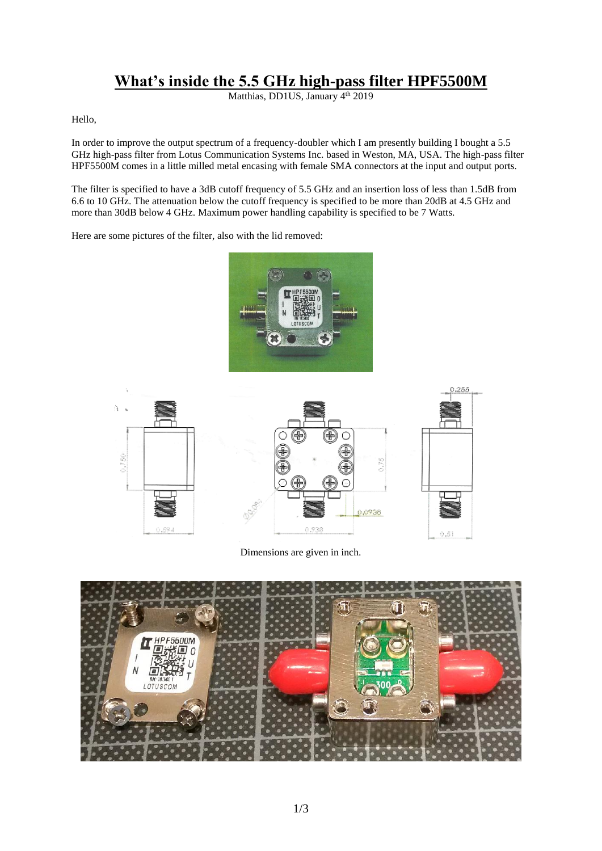## **What's inside the 5.5 GHz high-pass filter HPF5500M**

Matthias, DD1US, January 4<sup>th</sup> 2019

Hello,

In order to improve the output spectrum of a frequency-doubler which I am presently building I bought a 5.5 GHz high-pass filter from Lotus Communication Systems Inc. based in Weston, MA, USA. The high-pass filter HPF5500M comes in a little milled metal encasing with female SMA connectors at the input and output ports.

The filter is specified to have a 3dB cutoff frequency of 5.5 GHz and an insertion loss of less than 1.5dB from 6.6 to 10 GHz. The attenuation below the cutoff frequency is specified to be more than 20dB at 4.5 GHz and more than 30dB below 4 GHz. Maximum power handling capability is specified to be 7 Watts.

Here are some pictures of the filter, also with the lid removed:





Dimensions are given in inch.

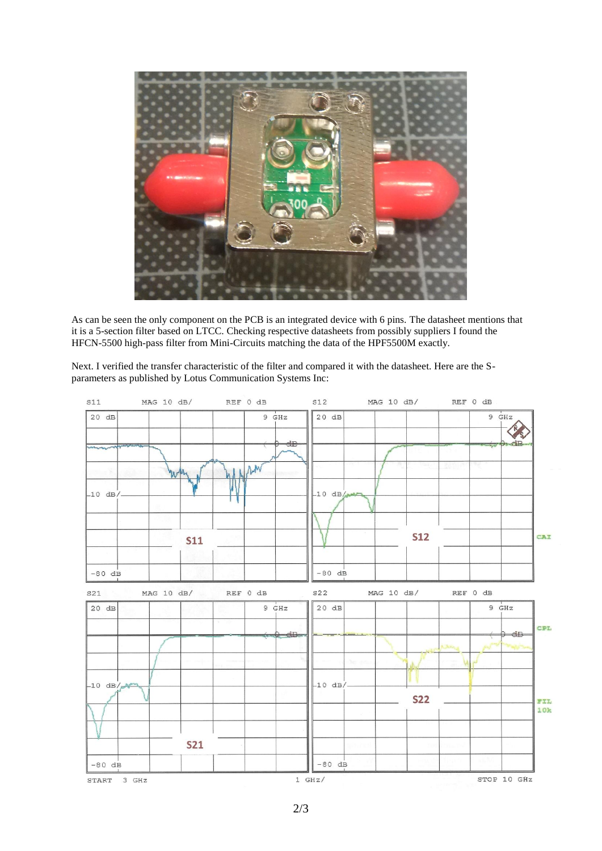

As can be seen the only component on the PCB is an integrated device with 6 pins. The datasheet mentions that it is a 5-section filter based on LTCC. Checking respective datasheets from possibly suppliers I found the HFCN-5500 high-pass filter from Mini-Circuits matching the data of the HPF5500M exactly.

Next. I verified the transfer characteristic of the filter and compared it with the datasheet. Here are the Sparameters as published by Lotus Communication Systems Inc: